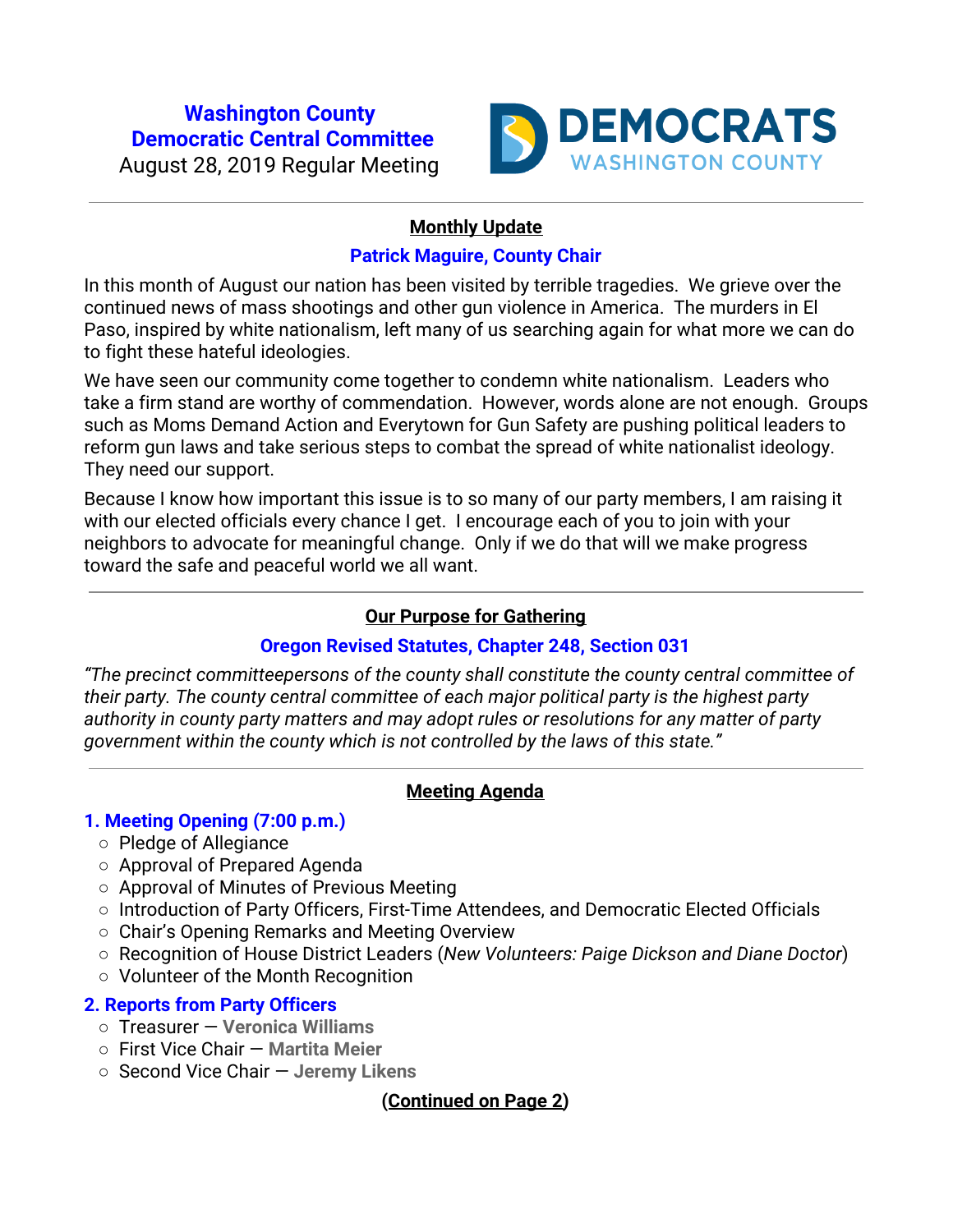# **Washington County Democratic Central Committee** August 28, 2019 Regular Meeting



### **Monthly Update**

### **Patrick Maguire, County Chair**

In this month of August our nation has been visited by terrible tragedies. We grieve over the continued news of mass shootings and other gun violence in America. The murders in El Paso, inspired by white nationalism, left many of us searching again for what more we can do to fight these hateful ideologies.

We have seen our community come together to condemn white nationalism. Leaders who take a firm stand are worthy of commendation. However, words alone are not enough. Groups such as Moms Demand Action and Everytown for Gun Safety are pushing political leaders to reform gun laws and take serious steps to combat the spread of white nationalist ideology. They need our support.

Because I know how important this issue is to so many of our party members, I am raising it with our elected officials every chance I get. I encourage each of you to join with your neighbors to advocate for meaningful change. Only if we do that will we make progress toward the safe and peaceful world we all want.

### **Our Purpose for Gathering**

# **Oregon Revised Statutes, Chapter 248, Section 031**

*"The precinct committeepersons of the county shall constitute the county central committee of their party. The county central committee of each major political party is the highest party authority in county party matters and may adopt rules or resolutions for any matter of party government within the county which is not controlled by the laws of this state."*

### **Meeting Agenda**

# **1. Meeting Opening (7:00 p.m.)**

- Pledge of Allegiance
- Approval of Prepared Agenda
- Approval of Minutes of Previous Meeting
- Introduction of Party Officers, First-Time Attendees, and Democratic Elected Officials
- Chair's Opening Remarks and Meeting Overview
- Recognition of House District Leaders (*New Volunteers: Paige Dickson and Diane Doctor*)
- Volunteer of the Month Recognition

# **2. Reports from Party Officers**

- Treasurer — **Veronica Williams**
- First Vice Chair — **Martita Meier**
- Second Vice Chair — **Jeremy Likens**

# **(Continued on Page 2)**